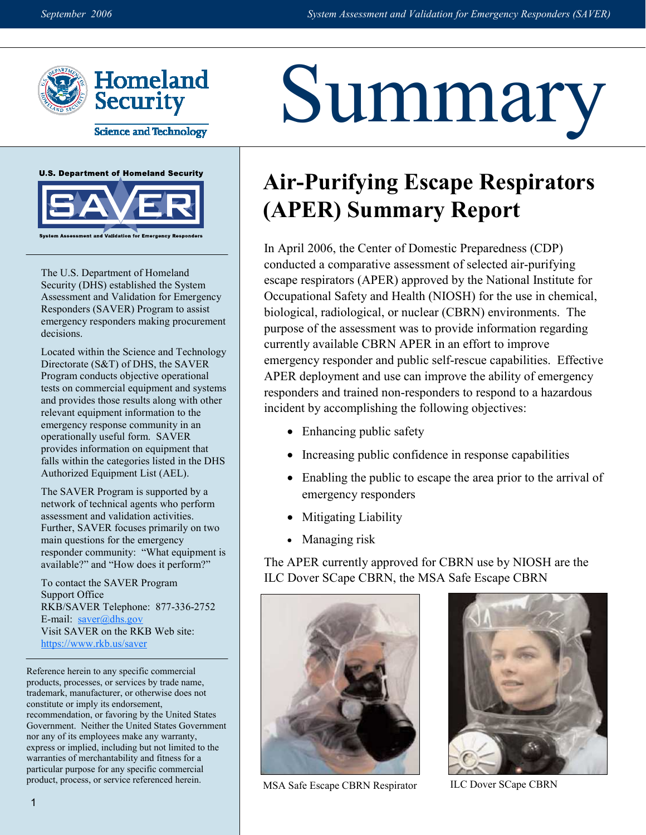

**Science and Technology** 



The U.S. Department of Homeland Security (DHS) established the System Assessment and Validation for Emergency Responders (SAVER) Program to assist emergency responders making procurement decisions.

Located within the Science and Technology Directorate (S&T) of DHS, the SAVER Program conducts objective operational tests on commercial equipment and systems and provides those results along with other relevant equipment information to the emergency response community in an operationally useful form. SAVER provides information on equipment that falls within the categories listed in the DHS Authorized Equipment List (AEL).

The SAVER Program is supported by a network of technical agents who perform assessment and validation activities. Further, SAVER focuses primarily on two main questions for the emergency responder community: "What equipment is available?" and "How does it perform?"

To contact the SAVER Program Support Office RKB/SAVER Telephone: 877-336-2752 E-mail:  $saver@dhs.gov$ Visit SAVER on the RKB Web site: https://www.rkb.us/saver

Reference herein to any specific commercial products, processes, or services by trade name, trademark, manufacturer, or otherwise does not constitute or imply its endorsement, recommendation, or favoring by the United States Government. Neither the United States Government nor any of its employees make any warranty, express or implied, including but not limited to the warranties of merchantability and fitness for a particular purpose for any specific commercial product, process, or service referenced herein.

## Summary

## **Air-Purifying Escape Respirators (APER) Summary Report**

In April 2006, the Center of Domestic Preparedness (CDP) conducted a comparative assessment of selected air-purifying escape respirators (APER) approved by the National Institute for Occupational Safety and Health (NIOSH) for the use in chemical, biological, radiological, or nuclear (CBRN) environments. The purpose of the assessment was to provide information regarding currently available CBRN APER in an effort to improve emergency responder and public self-rescue capabilities. Effective APER deployment and use can improve the ability of emergency responders and trained non-responders to respond to a hazardous incident by accomplishing the following objectives:

- Enhancing public safety
- Increasing public confidence in response capabilities
- Enabling the public to escape the area prior to the arrival of emergency responders
- Mitigating Liability
- Managing risk

The APER currently approved for CBRN use by NIOSH are the ILC Dover SCape CBRN, the MSA Safe Escape CBRN



MSA Safe Escape CBRN Respirator ILC Dover SCape CBRN